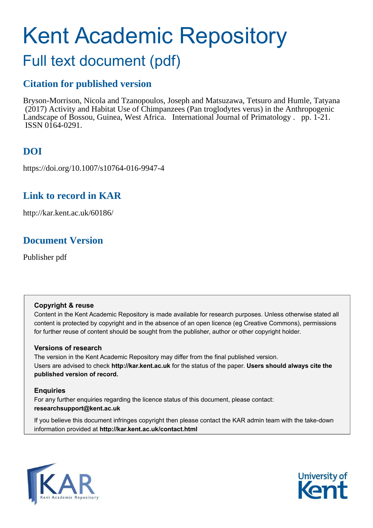# Kent Academic Repository

## Full text document (pdf)

### **Citation for published version**

Bryson-Morrison, Nicola and Tzanopoulos, Joseph and Matsuzawa, Tetsuro and Humle, Tatyana (2017) Activity and Habitat Use of Chimpanzees (Pan troglodytes verus) in the Anthropogenic Landscape of Bossou, Guinea, West Africa. International Journal of Primatology . pp. 1-21. ISSN 0164-0291.

## **DOI**

https://doi.org/10.1007/s10764-016-9947-4

## **Link to record in KAR**

http://kar.kent.ac.uk/60186/

## **Document Version**

Publisher pdf

#### **Copyright & reuse**

Content in the Kent Academic Repository is made available for research purposes. Unless otherwise stated all content is protected by copyright and in the absence of an open licence (eg Creative Commons), permissions for further reuse of content should be sought from the publisher, author or other copyright holder.

#### **Versions of research**

The version in the Kent Academic Repository may differ from the final published version. Users are advised to check **http://kar.kent.ac.uk** for the status of the paper. **Users should always cite the published version of record.**

#### **Enquiries**

For any further enquiries regarding the licence status of this document, please contact: **researchsupport@kent.ac.uk**

If you believe this document infringes copyright then please contact the KAR admin team with the take-down information provided at **http://kar.kent.ac.uk/contact.html**



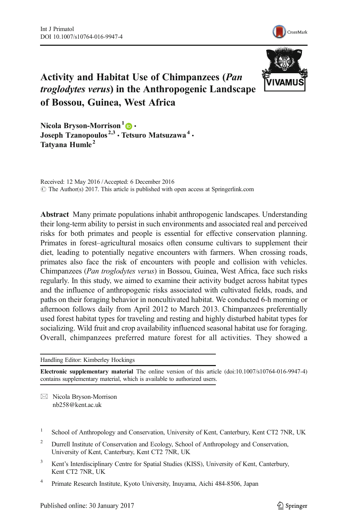



#### Activity and Habitat Use of Chimpanzees (Pan troglodytes verus) in the Anthropogenic Landscape of Bossou, Guinea, West Africa

Nicola Bryson-Morrison<sup>1</sup> <sup>0</sup> Joseph Tzanopoulos<sup>2,3</sup> • Tetsuro Matsuzawa<sup>4</sup> • Tatyana Humle<sup>2</sup>

Received: 12 May 2016 /Accepted: 6 December 2016  $\circ$  The Author(s) 2017. This article is published with open access at Springerlink.com

Abstract Many primate populations inhabit anthropogenic landscapes. Understanding their long-term ability to persist in such environments and associated real and perceived risks for both primates and people is essential for effective conservation planning. Primates in forest–agricultural mosaics often consume cultivars to supplement their diet, leading to potentially negative encounters with farmers. When crossing roads, primates also face the risk of encounters with people and collision with vehicles. Chimpanzees (*Pan troglodytes verus*) in Bossou, Guinea, West Africa, face such risks regularly. In this study, we aimed to examine their activity budget across habitat types and the influence of anthropogenic risks associated with cultivated fields, roads, and paths on their foraging behavior in noncultivated habitat. We conducted 6-h morning or afternoon follows daily from April 2012 to March 2013. Chimpanzees preferentially used forest habitat types for traveling and resting and highly disturbed habitat types for socializing. Wild fruit and crop availability influenced seasonal habitat use for foraging. Overall, chimpanzees preferred mature forest for all activities. They showed a

Handling Editor: Kimberley Hockings

Electronic supplementary material The online version of this article (doi:[10.1007/s10764-016-9947-4\)](http://dx.doi.org/10.1007/s10764-016-9947-4) contains supplementary material, which is available to authorized users.

 $\boxtimes$  Nicola Bryson-Morrison nb258@kent.ac.uk

- 1 School of Anthropology and Conservation, University of Kent, Canterbury, Kent CT2 7NR, UK
- <sup>2</sup> Durrell Institute of Conservation and Ecology, School of Anthropology and Conservation, University of Kent, Canterbury, Kent CT2 7NR, UK
- <sup>3</sup> Kent's Interdisciplinary Centre for Spatial Studies (KISS), University of Kent, Canterbury, Kent CT2 7NR, UK
- 4 Primate Research Institute, Kyoto University, Inuyama, Aichi 484-8506, Japan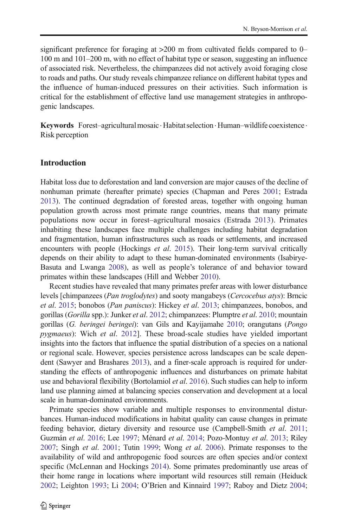significant preference for foraging at >200 m from cultivated fields compared to 0– 100 m and 101–200 m, with no effect of habitat type or season, suggesting an influence of associated risk. Nevertheless, the chimpanzees did not actively avoid foraging close to roads and paths. Our study reveals chimpanzee reliance on different habitat types and the influence of human-induced pressures on their activities. Such information is critical for the establishment of effective land use management strategies in anthropogenic landscapes.

Keywords Forest-agricultural mosaic · Habitat selection · Human-wildlife coexistence · Risk perception

#### Introduction

Habitat loss due to deforestation and land conversion are major causes of the decline of nonhuman primate (hereafter primate) species (Chapman and Peres [2001](#page-16-0); Estrada [2013\)](#page-16-0). The continued degradation of forested areas, together with ongoing human population growth across most primate range countries, means that many primate populations now occur in forest–agricultural mosaics (Estrada [2013](#page-16-0)). Primates inhabiting these landscapes face multiple challenges including habitat degradation and fragmentation, human infrastructures such as roads or settlements, and increased encounters with people (Hockings *et al*. [2015](#page-17-0)). Their long-term survival critically depends on their ability to adapt to these human-dominated environments (Isabirye-Basuta and Lwanga [2008\)](#page-17-0), as well as people's tolerance of and behavior toward primates within these landscapes (Hill and Webber [2010\)](#page-17-0).

Recent studies have revealed that many primates prefer areas with lower disturbance levels [chimpanzees (*Pan troglodytes*) and sooty mangabeys (*Cercocebus atys*): Brncic *et al*. [2015;](#page-16-0) bonobos (*Pan paniscus*): Hickey *et al*. [2013](#page-17-0); chimpanzees, bonobos, and gorillas (*Gorilla* spp.): Junker *et al*. [2012](#page-18-0); chimpanzees: Plumptre *et al*. [2010;](#page-18-0) mountain gorillas (*G. beringei beringei*): van Gils and Kayijamahe [2010](#page-19-0); orangutans (*Pongo pygmaeus*): Wich *et al*. [2012](#page-20-0)]. These broad-scale studies have yielded important insights into the factors that influence the spatial distribution of a species on a national or regional scale. However, species persistence across landscapes can be scale dependent (Sawyer and Brashares [2013\)](#page-19-0), and a finer-scale approach is required for understanding the effects of anthropogenic influences and disturbances on primate habitat use and behavioral flexibility (Bortolamiol *et al*. [2016\)](#page-16-0). Such studies can help to inform land use planning aimed at balancing species conservation and development at a local scale in human-dominated environments.

Primate species show variable and multiple responses to environmental disturbances. Human-induced modifications in habitat quality can cause changes in primate feeding behavior, dietary diversity and resource use (Campbell-Smith *et al*. [2011;](#page-16-0) Guzmán *et al*. [2016](#page-17-0); Lee [1997](#page-18-0); Ménard *et al*. [2014;](#page-18-0) Pozo-Montuy *et al*. [2013](#page-19-0); Riley [2007;](#page-19-0) Singh *et al*. [2001](#page-19-0); Tutin [1999](#page-19-0); Wong *et al*. [2006](#page-20-0)). Primate responses to the availability of wild and anthropogenic food sources are often species and/or context specific (McLennan and Hockings [2014](#page-18-0)). Some primates predominantly use areas of their home range in locations where important wild resources still remain (Heiduck [2002;](#page-17-0) Leighton [1993;](#page-18-0) Li [2004;](#page-18-0) O'Brien and Kinnaird [1997;](#page-18-0) Raboy and Dietz [2004;](#page-19-0)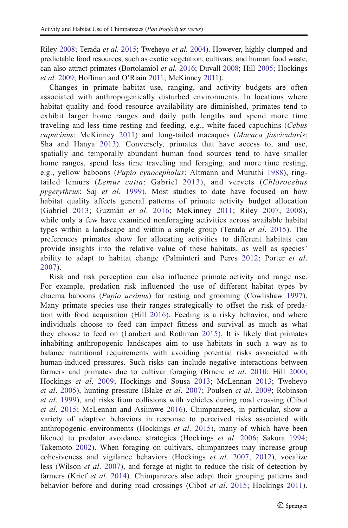Riley [2008;](#page-19-0) Terada *et al*. [2015;](#page-19-0) Tweheyo *et al*. [2004\)](#page-19-0). However, highly clumped and predictable food resources, such as exotic vegetation, cultivars, and human food waste, can also attract primates (Bortolamiol *et al*. [2016](#page-16-0); Duvall [2008](#page-16-0); Hill [2005](#page-17-0); Hockings *et al*. [2009](#page-17-0); Hoffman and O'Riain [2011](#page-17-0); McKinney [2011\)](#page-18-0).

Changes in primate habitat use, ranging, and activity budgets are often associated with anthropogenically disturbed environments. In locations where habitat quality and food resource availability are diminished, primates tend to exhibit larger home ranges and daily path lengths and spend more time traveling and less time resting and feeding, e.g., white-faced capuchins (*Cebus capucinus*: McKinney [2011\)](#page-18-0) and long-tailed macaques (*Macaca fascicularis*: Sha and Hanya [2013\)](#page-19-0). Conversely, primates that have access to, and use, spatially and temporally abundant human food sources tend to have smaller home ranges, spend less time traveling and foraging, and more time resting, e.g., yellow baboons (*Papio cynocephalus*: Altmann and Muruthi [1988](#page-16-0)), ringtailed lemurs (*Lemur catta*: Gabriel [2013](#page-17-0)), and vervets (*Chlorocebus pygerythrus*: Saj *et al*. [1999](#page-19-0)). Most studies to date have focused on how habitat quality affects general patterns of primate activity budget allocation (Gabriel [2013;](#page-17-0) Guzmán *et al*. [2016](#page-17-0); McKinney [2011](#page-18-0); Riley [2007,](#page-19-0) [2008](#page-19-0)), while only a few have examined nonforaging activities across available habitat types within a landscape and within a single group (Terada *et al*. [2015](#page-19-0)). The preferences primates show for allocating activities to different habitats can provide insights into the relative value of these habitats, as well as species' ability to adapt to habitat change (Palminteri and Peres [2012](#page-18-0); Porter *et al*. [2007\)](#page-18-0).

Risk and risk perception can also influence primate activity and range use. For example, predation risk influenced the use of different habitat types by chacma baboons (*Papio ursinus*) for resting and grooming (Cowlishaw [1997\)](#page-16-0). Many primate species use their ranges strategically to offset the risk of predation with food acquisition (Hill [2016\)](#page-17-0). Feeding is a risky behavior, and where individuals choose to feed can impact fitness and survival as much as what they choose to feed on (Lambert and Rothman [2015\)](#page-18-0). It is likely that primates inhabiting anthropogenic landscapes aim to use habitats in such a way as to balance nutritional requirements with avoiding potential risks associated with human-induced pressures. Such risks can include negative interactions between farmers and primates due to cultivar foraging (Brncic *et al*. [2010;](#page-16-0) Hill [2000;](#page-17-0) Hockings *et al*. [2009;](#page-17-0) Hockings and Sousa [2013;](#page-17-0) McLennan [2013](#page-18-0); Tweheyo *et al*. [2005\)](#page-19-0), hunting pressure (Blake *et al*. [2007;](#page-16-0) Poulsen *et al*. [2009;](#page-19-0) Robinson *et al*. [1999\)](#page-19-0), and risks from collisions with vehicles during road crossing (Cibot *et al*. [2015](#page-16-0); McLennan and Asiimwe [2016\)](#page-18-0). Chimpanzees, in particular, show a variety of adaptive behaviors in response to perceived risks associated with anthropogenic environments (Hockings *et al*. [2015\)](#page-17-0), many of which have been likened to predator avoidance strategies (Hockings *et al*. [2006;](#page-17-0) Sakura [1994;](#page-19-0) Takemoto [2002\)](#page-19-0). When foraging on cultivars, chimpanzees may increase group cohesiveness and vigilance behaviors (Hockings *et al*. [2007,](#page-17-0) [2012](#page-17-0)), vocalize less (Wilson *et al*. [2007](#page-20-0)), and forage at night to reduce the risk of detection by farmers (Krief *et al*. [2014](#page-18-0)). Chimpanzees also adapt their grouping patterns and behavior before and during road crossings (Cibot *et al*. [2015](#page-16-0); Hockings [2011\)](#page-17-0).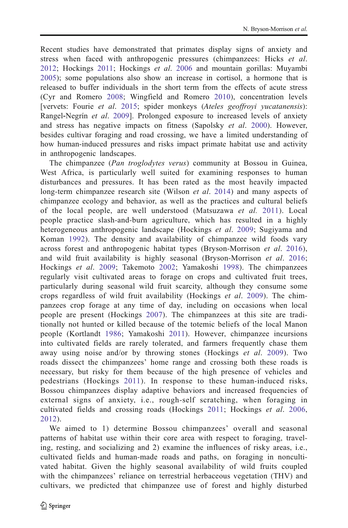Recent studies have demonstrated that primates display signs of anxiety and stress when faced with anthropogenic pressures (chimpanzees: Hicks *et al*. [2012](#page-17-0); Hockings [2011](#page-17-0); Hockings *et al*. [2006](#page-17-0) and mountain gorillas: Muyambi [2005](#page-18-0)); some populations also show an increase in cortisol, a hormone that is released to buffer individuals in the short term from the effects of acute stress (Cyr and Romero [2008;](#page-16-0) Wingfield and Romero [2010](#page-20-0)), concentration levels [vervets: Fourie *et al*. [2015](#page-17-0); spider monkeys (*Ateles geoffroyi yucatanensis*): Rangel‐Negrín *et al*. [2009](#page-19-0)]. Prolonged exposure to increased levels of anxiety and stress has negative impacts on fitness (Sapolsky *et al*. [2000\)](#page-19-0). However, besides cultivar foraging and road crossing, we have a limited understanding of how human-induced pressures and risks impact primate habitat use and activity in anthropogenic landscapes.

The chimpanzee (*Pan troglodytes verus*) community at Bossou in Guinea, West Africa, is particularly well suited for examining responses to human disturbances and pressures. It has been rated as the most heavily impacted long-term chimpanzee research site (Wilson *et al*. [2014\)](#page-20-0) and many aspects of chimpanzee ecology and behavior, as well as the practices and cultural beliefs of the local people, are well understood (Matsuzawa *et al.* [2011](#page-18-0)). Local people practice slash-and-burn agriculture, which has resulted in a highly heterogeneous anthropogenic landscape (Hockings *et al*. [2009](#page-17-0); Sugiyama and Koman [1992](#page-19-0)). The density and availability of chimpanzee wild foods vary across forest and anthropogenic habitat types (Bryson-Morrison *et al*. [2016](#page-16-0)), and wild fruit availability is highly seasonal (Bryson-Morrison *et al*. [2016;](#page-16-0) Hockings *et al*. [2009](#page-17-0); Takemoto [2002;](#page-19-0) Yamakoshi [1998](#page-20-0)). The chimpanzees regularly visit cultivated areas to forage on crops and cultivated fruit trees, particularly during seasonal wild fruit scarcity, although they consume some crops regardless of wild fruit availability (Hockings *et al*. [2009\)](#page-17-0). The chimpanzees crop forage at any time of day, including on occasions when local people are present (Hockings [2007](#page-17-0)). The chimpanzees at this site are traditionally not hunted or killed because of the totemic beliefs of the local Manon people (Kortlandt [1986;](#page-18-0) Yamakoshi [2011\)](#page-20-0). However, chimpanzee incursions into cultivated fields are rarely tolerated, and farmers frequently chase them away using noise and/or by throwing stones (Hockings *et al*. [2009](#page-17-0)). Two roads dissect the chimpanzees' home range and crossing both these roads is necessary, but risky for them because of the high presence of vehicles and pedestrians (Hockings [2011\)](#page-17-0). In response to these human-induced risks, Bossou chimpanzees display adaptive behaviors and increased frequencies of external signs of anxiety, i.e., rough-self scratching, when foraging in cultivated fields and crossing roads (Hockings [2011;](#page-17-0) Hockings *et al*. [2006,](#page-17-0) [2012\)](#page-17-0).

We aimed to 1) determine Bossou chimpanzees' overall and seasonal patterns of habitat use within their core area with respect to foraging, traveling, resting, and socializing and 2) examine the influences of risky areas, i.e., cultivated fields and human-made roads and paths, on foraging in noncultivated habitat. Given the highly seasonal availability of wild fruits coupled with the chimpanzees' reliance on terrestrial herbaceous vegetation (THV) and cultivars, we predicted that chimpanzee use of forest and highly disturbed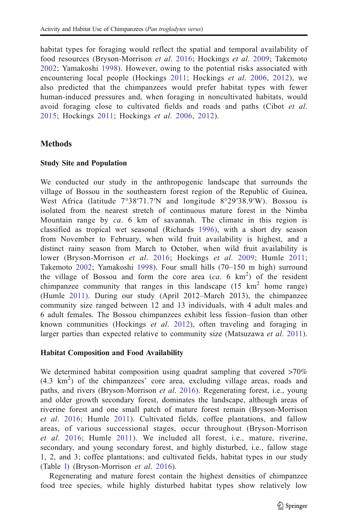<span id="page-5-0"></span>habitat types for foraging would reflect the spatial and temporal availability of food resources (Bryson-Morrison *et al*. [2016](#page-16-0); Hockings *et al*. [2009;](#page-17-0) Takemoto [2002;](#page-19-0) Yamakoshi [1998\)](#page-20-0). However, owing to the potential risks associated with encountering local people (Hockings [2011;](#page-17-0) Hockings *et al*. [2006](#page-17-0), [2012\)](#page-17-0), we also predicted that the chimpanzees would prefer habitat types with fewer human-induced pressures and, when foraging in noncultivated habitats, would avoid foraging close to cultivated fields and roads and paths (Cibot *et al*. [2015;](#page-16-0) Hockings [2011;](#page-17-0) Hockings *et al*. [2006,](#page-17-0) [2012\)](#page-17-0).

#### **Methods**

#### Study Site and Population

We conducted our study in the anthropogenic landscape that surrounds the village of Bossou in the southeastern forest region of the Republic of Guinea, West Africa (latitude 7°38′71.7′N and longitude 8°29′38.9′W). Bossou is isolated from the nearest stretch of continuous mature forest in the Nimba Mountain range by *ca*. 6 km of savannah. The climate in this region is classified as tropical wet seasonal (Richards [1996\)](#page-19-0), with a short dry season from November to February, when wild fruit availability is highest, and a distinct rainy season from March to October, when wild fruit availability is lower (Bryson-Morrison *et al*. [2016;](#page-16-0) Hockings *et al*. [2009;](#page-17-0) Humle [2011;](#page-17-0) Takemoto [2002](#page-19-0); Yamakoshi [1998](#page-20-0)). Four small hills (70–150 m high) surround the village of Bossou and form the core area  $(ca. 6 \text{ km}^2)$  of the resident chimpanzee community that ranges in this landscape  $(15 \text{ km}^2 \text{ home range})$ (Humle [2011\)](#page-17-0). During our study (April 2012–March 2013), the chimpanzee community size ranged between 12 and 13 individuals, with 4 adult males and 6 adult females. The Bossou chimpanzees exhibit less fission–fusion than other known communities (Hockings *et al*. [2012](#page-17-0)), often traveling and foraging in larger parties than expected relative to community size (Matsuzawa *et al*. [2011\)](#page-18-0).

#### Habitat Composition and Food Availability

We determined habitat composition using quadrat sampling that covered  $>70\%$ (4.3 km<sup>2</sup>) of the chimpanzees' core area, excluding village areas, roads and paths, and rivers (Bryson-Morrison *et al*. [2016](#page-16-0)). Regenerating forest, i.e., young and older growth secondary forest, dominates the landscape, although areas of riverine forest and one small patch of mature forest remain (Bryson-Morrison *et al*. [2016;](#page-16-0) Humle [2011](#page-17-0)). Cultivated fields, coffee plantations, and fallow areas, of various successional stages, occur throughout (Bryson-Morrison *et al*. [2016](#page-16-0); Humle [2011\)](#page-17-0). We included all forest, i.e., mature, riverine, secondary, and young secondary forest, and highly disturbed, i.e., fallow stage 1, 2, and 3; coffee plantations; and cultivated fields, habitat types in our study (Table I) (Bryson-Morrison *et al*. [2016](#page-16-0)).

Regenerating and mature forest contain the highest densities of chimpanzee food tree species, while highly disturbed habitat types show relatively low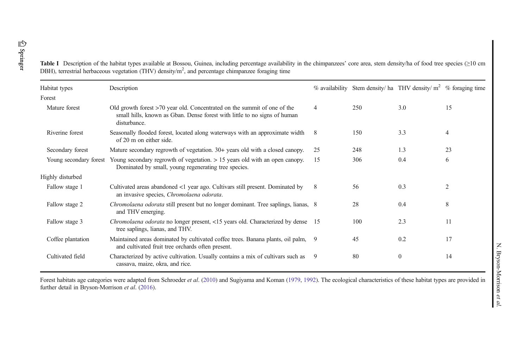<span id="page-6-0"></span>

| Table I Description of the habitat types available at Bossou, Guinea, including percentage availability in the chimpanzees' core area, stem density/ha of food tree species (≥10 cm |
|-------------------------------------------------------------------------------------------------------------------------------------------------------------------------------------|
| DBH), terrestrial herbaceous vegetation (THV) density/ $m2$ , and percentage chimpanzee foraging time                                                                               |

| Habitat types          | Description                                                                                                                                                             |      |     | $\%$ availability Stem density/ ha THV density/ m <sup>2</sup> | % foraging time |
|------------------------|-------------------------------------------------------------------------------------------------------------------------------------------------------------------------|------|-----|----------------------------------------------------------------|-----------------|
| Forest                 |                                                                                                                                                                         |      |     |                                                                |                 |
| Mature forest          | Old growth forest $>70$ year old. Concentrated on the summit of one of the<br>small hills, known as Gban. Dense forest with little to no signs of human<br>disturbance. | 4    | 250 | 3.0                                                            | 15              |
| Riverine forest        | Seasonally flooded forest, located along waterways with an approximate width<br>of 20 m on either side.                                                                 | 8    | 150 | 3.3                                                            | 4               |
| Secondary forest       | Mature secondary regrowth of vegetation. 30+ years old with a closed canopy.                                                                                            | 25   | 248 | 1.3                                                            | 23              |
| Young secondary forest | Young secondary regrowth of vegetation. $> 15$ years old with an open canopy.<br>Dominated by small, young regenerating tree species.                                   | 15   | 306 | 0.4                                                            | 6               |
| Highly disturbed       |                                                                                                                                                                         |      |     |                                                                |                 |
| Fallow stage 1         | Cultivated areas abandoned <1 year ago. Cultivars still present. Dominated by<br>an invasive species, Chromolaena odorata.                                              | 8    | 56  | 0.3                                                            | $\overline{2}$  |
| Fallow stage 2         | <i>Chromolaena odorata</i> still present but no longer dominant. Tree saplings, lianas, 8<br>and THV emerging.                                                          |      | 28  | 0.4                                                            | 8               |
| Fallow stage 3         | Chromolaena odorata no longer present, <15 years old. Characterized by dense<br>tree saplings, lianas, and THV.                                                         | - 15 | 100 | 2.3                                                            | 11              |
| Coffee plantation      | Maintained areas dominated by cultivated coffee trees. Banana plants, oil palm,<br>and cultivated fruit tree orchards often present.                                    | 9    | 45  | 0.2                                                            | 17              |
| Cultivated field       | Characterized by active cultivation. Usually contains a mix of cultivars such as<br>cassava, maize, okra, and rice.                                                     | 9    | 80  | $\mathbf{0}$                                                   | 14              |
|                        |                                                                                                                                                                         |      |     |                                                                |                 |

Forest habitats age categories were adapted from Schroeder *et al.* [\(2010](#page-19-0)) and Sugiyama and Koman [\(1979](#page-19-0), [1992](#page-19-0)). The ecological characteristics of these habitat types are provided in further detail in Bryson-Morrison *et al*. [\(2016\)](#page-16-0).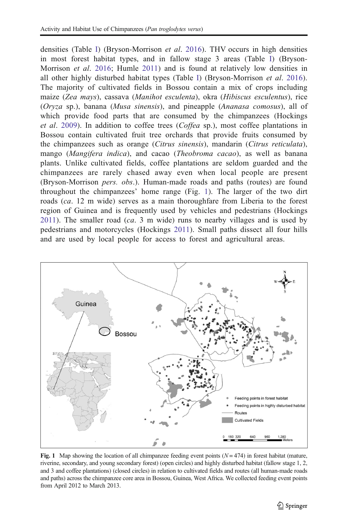densities (Table [I\)](#page-5-0) (Bryson-Morrison *et al*. [2016\)](#page-16-0). THV occurs in high densities in most forest habitat types, and in fallow stage 3 areas (Table [I\)](#page-5-0) (Bryson-Morrison *et al*. [2016](#page-16-0); Humle [2011\)](#page-17-0) and is found at relatively low densities in all other highly disturbed habitat types (Table [I](#page-5-0)) (Bryson-Morrison *et al*. [2016\)](#page-16-0). The majority of cultivated fields in Bossou contain a mix of crops including maize (*Zea mays*), cassava (*Manihot esculenta*), okra (*Hibiscus esculentus*), rice (*Oryza* sp.), banana (*Musa sinensis*), and pineapple (*Ananasa comosus*), all of which provide food parts that are consumed by the chimpanzees (Hockings *et al*. [2009\)](#page-17-0). In addition to coffee trees (*Coffea* sp.), most coffee plantations in Bossou contain cultivated fruit tree orchards that provide fruits consumed by the chimpanzees such as orange (*Citrus sinensis*), mandarin (*Citrus reticulata*), mango (*Mangifera indica*), and cacao (*Theobroma cacao*), as well as banana plants. Unlike cultivated fields, coffee plantations are seldom guarded and the chimpanzees are rarely chased away even when local people are present (Bryson-Morrison *pers. obs*.). Human-made roads and paths (routes) are found throughout the chimpanzees' home range (Fig. [1](#page-6-0)). The larger of the two dirt roads (*ca*. 12 m wide) serves as a main thoroughfare from Liberia to the forest region of Guinea and is frequently used by vehicles and pedestrians (Hockings [2011](#page-17-0)). The smaller road (*ca*. 3 m wide) runs to nearby villages and is used by pedestrians and motorcycles (Hockings [2011\)](#page-17-0). Small paths dissect all four hills and are used by local people for access to forest and agricultural areas.



Fig. 1 Map showing the location of all chimpanzee feeding event points  $(N = 474)$  in forest habitat (mature, riverine, secondary, and young secondary forest) (open circles) and highly disturbed habitat (fallow stage 1, 2, and 3 and coffee plantations) (closed circles) in relation to cultivated fields and routes (all human-made roads and paths) across the chimpanzee core area in Bossou, Guinea, West Africa. We collected feeding event points from April 2012 to March 2013.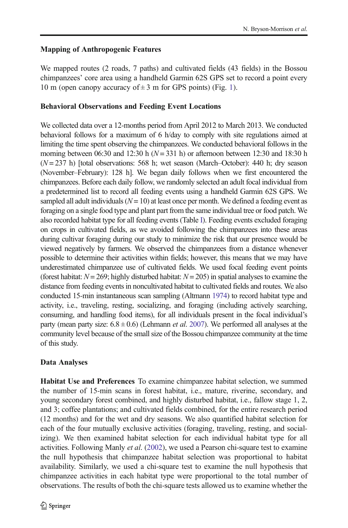#### <span id="page-8-0"></span>Mapping of Anthropogenic Features

We mapped routes (2 roads, 7 paths) and cultivated fields (43 fields) in the Bossou chimpanzees' core area using a handheld Garmin 62S GPS set to record a point every 10 m (open canopy accuracy of  $\pm$  3 m for GPS points) (Fig. [1\)](#page-6-0).

#### Behavioral Observations and Feeding Event Locations

We collected data over a 12-months period from April 2012 to March 2013. We conducted behavioral follows for a maximum of 6 h/day to comply with site regulations aimed at limiting the time spent observing the chimpanzees. We conducted behavioral follows in the morning between 06:30 and 12:30 h ( $N = 331$  h) or afternoon between 12:30 and 18:30 h (*N* = 237 h) [total observations: 568 h; wet season (March–October): 440 h; dry season (November–February): 128 h]. We began daily follows when we first encountered the chimpanzees. Before each daily follow, we randomly selected an adult focal individual from a predetermined list to record all feeding events using a handheld Garmin 62S GPS. We sampled all adult individuals  $(N = 10)$  at least once per month. We defined a feeding event as foraging on a single food type and plant part from the same individual tree or food patch. We also recorded habitat type for all feeding events (Table [I\)](#page-5-0). Feeding events excluded foraging on crops in cultivated fields, as we avoided following the chimpanzees into these areas during cultivar foraging during our study to minimize the risk that our presence would be viewed negatively by farmers. We observed the chimpanzees from a distance whenever possible to determine their activities within fields; however, this means that we may have underestimated chimpanzee use of cultivated fields. We used focal feeding event points (forest habitat: *N* = 269; highly disturbed habitat: *N* = 205) in spatial analyses to examine the distance from feeding events in noncultivated habitat to cultivated fields and routes. We also conducted 15-min instantaneous scan sampling (Altmann [1974\)](#page-16-0) to record habitat type and activity, i.e., traveling, resting, socializing, and foraging (including actively searching, consuming, and handling food items), for all individuals present in the focal individual's party (mean party size:  $6.8 \pm 0.6$ ) (Lehmann *et al.* [2007](#page-18-0)). We performed all analyses at the community level because of the small size of the Bossou chimpanzee community at the time of this study.

#### Data Analyses

Habitat Use and Preferences To examine chimpanzee habitat selection, we summed the number of 15-min scans in forest habitat, i.e., mature, riverine, secondary, and young secondary forest combined, and highly disturbed habitat, i.e., fallow stage 1, 2, and 3; coffee plantations; and cultivated fields combined, for the entire research period (12 months) and for the wet and dry seasons. We also quantified habitat selection for each of the four mutually exclusive activities (foraging, traveling, resting, and socializing). We then examined habitat selection for each individual habitat type for all activities. Following Manly *et al*. ([2002](#page-18-0)), we used a Pearson chi-square test to examine the null hypothesis that chimpanzee habitat selection was proportional to habitat availability. Similarly, we used a chi-square test to examine the null hypothesis that chimpanzee activities in each habitat type were proportional to the total number of observations. The results of both the chi-square tests allowed us to examine whether the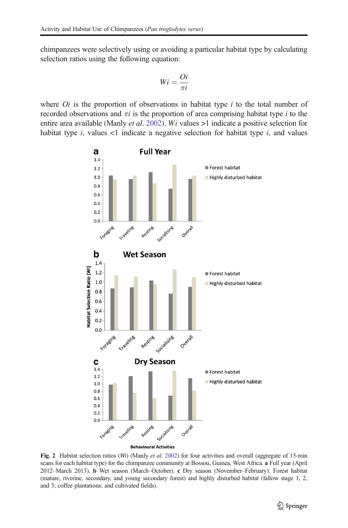<span id="page-9-0"></span>chimpanzees were selectively using or avoiding a particular habitat type by calculating selection ratios using the following equation:

$$
Wi = \frac{Qi}{\pi i}
$$

where  $O_i$  is the proportion of observations in habitat type  $i$  to the total number of recorded observations and π*i* is the proportion of area comprising habitat type *i* to the entire area available (Manly *et al*. [2002](#page-18-0)). *Wi* values >1 indicate a positive selection for habitat type  $i$ , values  $\lt 1$  indicate a negative selection for habitat type  $i$ , and values



Fig. 2 Habitat selection ratios (*Wi*) (Manly *et al*. [2002\)](#page-18-0) for four activities and overall (aggregate of 15-min scans for each habitat type) for the chimpanzee community at Bossou, Guinea, West Africa. a Full year (April 2012–March 2013). b Wet season (March–October). c Dry season (November–February). Forest habitat (mature, riverine, secondary, and young secondary forest) and highly disturbed habitat (fallow stage 1, 2, and 3; coffee plantations; and cultivated fields).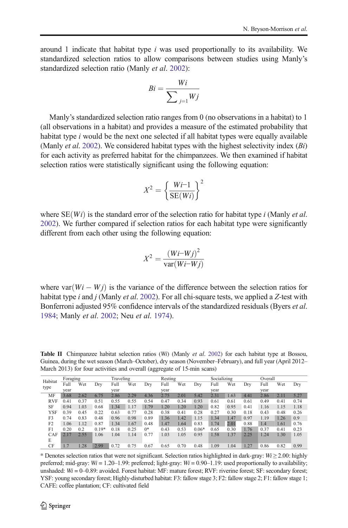around 1 indicate that habitat type *i* was used proportionally to its availability. We standardized selection ratios to allow comparisons between studies using Manly's standardized selection ratio (Manly *et al*. [2002](#page-18-0)):

$$
Bi = \frac{Wi}{\sum_{j=1} Wj}
$$

Manly's standardized selection ratio ranges from 0 (no observations in a habitat) to 1 (all observations in a habitat) and provides a measure of the estimated probability that habitat type *i* would be the next one selected if all habitat types were equally available (Manly *et al*. [2002\)](#page-18-0). We considered habitat types with the highest selectivity index (*Bi*) for each activity as preferred habitat for the chimpanzees. We then examined if habitat selection ratios were statistically significant using the following equation:

$$
X^2 = \left\{ \frac{Wi-1}{SE(Wi)} \right\}^2
$$

where  $SE(Wi)$  is the standard error of the selection ratio for habitat type *i* (Manly *et al.*) [2002\)](#page-18-0). We further compared if selection ratios for each habitat type were significantly different from each other using the following equation:

$$
X^2 = \frac{(Wi-Wj)^2}{var(Wi-Wj)}
$$

where  $var(W_i - W_j)$  is the variance of the difference between the selection ratios for habitat type *i* and *j* (Manly *et al*. [2002](#page-18-0)). For all chi-square tests, we applied a *Z*-test with Bonferroni adjusted 95% confidence intervals of the standardized residuals (Byers *et al*. [1984;](#page-16-0) Manly *et al*. [2002;](#page-18-0) Neu *et al*. [1974](#page-18-0)).

Table II Chimpanzee habitat selection ratios (*Wi*) (Manly *et al*. [2002\)](#page-18-0) for each habitat type at Bossou, Guinea, during the wet season (March–October), dry season (November–February), and full year (April 2012– March 2013) for four activities and overall (aggregate of 15-min scans)

| Habitat        | Foraging |      | Traveling |      | Resting |      |      | Socializing     |         |      | Overall |      |      |      |      |
|----------------|----------|------|-----------|------|---------|------|------|-----------------|---------|------|---------|------|------|------|------|
| type           | Full     | Wet  | Drv       | Full | Wet     | Drv  | Full | Wet             | Dry     | Full | Wet     | Drv  | Full | Wet  | Drv  |
|                | vear     |      |           | vear |         |      | year |                 |         | year |         |      | vear |      |      |
| MF             | 3.68     | 2.62 | 6.75      | 2.86 | 2.29    | 4.36 | 2.75 | 2.01            | 5.42    | 2.31 | 1.63    | 4.41 | 2.86 | 2.11 | 5.27 |
| <b>RVF</b>     | 0.41     | 0.37 | 0.51      | 0.55 | 0.55    | 0.54 | 0.47 | 0.34            | 0.93    | 0.61 | 0.61    | 0.61 | 0.49 | 0.41 | 0.74 |
| SF             | 0.94     | 1.03 | 0.68      | 1.34 | 1.17    | 1.79 | 1.20 | 1.20            | 1.20    | 0.82 | 0.95    | 0.41 | 1.16 | 1.15 | 1.18 |
| YSF            | 0.39     | 0.45 | 0.22      | 0.63 | 0.77    | 0.28 | 0.38 | 0.41            | 0.28    | 0.27 | 0.30    | 0.18 | 0.43 | 0.48 | 0.26 |
| F3             | 0.74     | 0.83 | 0.48      | 0.96 | 0.98    | 0.89 | 1.36 | L <sub>42</sub> | 1.15    | 1.34 | 1.47    | 0.97 | 1.19 | 1.26 | 0.9  |
| F <sub>2</sub> | 1.06     | 1.12 | 0.87      | 1.34 | 1.67    | 0.48 | 1.47 | L.64            | 0.83    | 1.74 | 2.01    | 0.88 | 1.4  | 1.61 | 0.76 |
| F1             | 0.20     | 0.2  | $0.19*$   | 0.18 | 0.25    | $0*$ | 0.43 | 0.53            | $0.06*$ | 0.65 | 0.30    | 1.76 | 0.37 | 0.41 | 0.23 |
| CAF            | 217      | 2.55 | 1.06      | 1.04 | 1.14    | 0.77 | 1.03 | .05             | 0.95    | 1.58 | 1.37    | 2.25 | 1.24 | 1.30 | 1.05 |
| E              |          |      |           |      |         |      |      |                 |         |      |         |      |      |      |      |
| CF             |          | .28  | 2.99      | 0.72 | 0.75    | 0.67 | 0.65 | 0.70            | 0.48    | 1.09 | 1.04    | 1.27 | 0.86 | 0.82 | 0.99 |

\* Denotes selection ratios that were not significant. Selection ratios highlighted in dark-gray: *Wi* ≥ 2.00: highly preferred; mid-gray: *Wi* = 1.20–1.99: preferred; light-gray: *Wi* = 0.90–1.19: used proportionally to availability; unshaded:  $Wi = 0-0.89$ : avoided. Forest habitat: MF: mature forest; RVF: riverine forest; SF: secondary forest; YSF: young secondary forest; Highly-disturbed habitat: F3: fallow stage 3; F2: fallow stage 2; F1: fallow stage 1; CAFE: coffee plantation; CF: cultivated field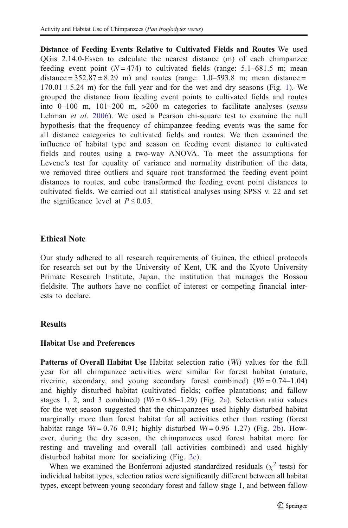Distance of Feeding Events Relative to Cultivated Fields and Routes We used QGis 2.14.0-Essen to calculate the nearest distance (m) of each chimpanzee feeding event point  $(N=474)$  to cultivated fields (range: 5.1–681.5 m; mean distance =  $352.87 \pm 8.29$  m) and routes (range: 1.0–593.8 m; mean distance =  $170.01 \pm 5.24$  $170.01 \pm 5.24$  m) for the full year and for the wet and dry seasons (Fig. 1). We grouped the distance from feeding event points to cultivated fields and routes into 0–100 m, 101–200 m, >200 m categories to facilitate analyses (*sensu* Lehman *et al*. [2006](#page-18-0)). We used a Pearson chi-square test to examine the null hypothesis that the frequency of chimpanzee feeding events was the same for all distance categories to cultivated fields and routes. We then examined the influence of habitat type and season on feeding event distance to cultivated fields and routes using a two-way ANOVA. To meet the assumptions for Levene's test for equality of variance and normality distribution of the data, we removed three outliers and square root transformed the feeding event point distances to routes, and cube transformed the feeding event point distances to cultivated fields. We carried out all statistical analyses using SPSS v. 22 and set the significance level at  $P \le 0.05$ .

#### Ethical Note

Our study adhered to all research requirements of Guinea, the ethical protocols for research set out by the University of Kent, UK and the Kyoto University Primate Research Institute, Japan, the institution that manages the Bossou fieldsite. The authors have no conflict of interest or competing financial interests to declare.

#### **Results**

#### Habitat Use and Preferences

Patterns of Overall Habitat Use Habitat selection ratio (*Wi*) values for the full year for all chimpanzee activities were similar for forest habitat (mature, riverine, secondary, and young secondary forest combined)  $(W = 0.74 - 1.04)$ and highly disturbed habitat (cultivated fields; coffee plantations; and fallow stages 1, 2, and 3 combined)  $(Wi = 0.86 - 1.29)$  (Fig. [2a\)](#page-8-0). Selection ratio values for the wet season suggested that the chimpanzees used highly disturbed habitat marginally more than forest habitat for all activities other than resting (forest habitat range  $Wi = 0.76{\text -}0.91$ ; highly disturbed  $Wi = 0.96{\text -}1.27$  (Fig. [2b\)](#page-8-0). However, during the dry season, the chimpanzees used forest habitat more for resting and traveling and overall (all activities combined) and used highly disturbed habitat more for socializing (Fig. [2c](#page-8-0)).

When we examined the Bonferroni adjusted standardized residuals  $(\chi^2$  tests) for individual habitat types, selection ratios were significantly different between all habitat types, except between young secondary forest and fallow stage 1, and between fallow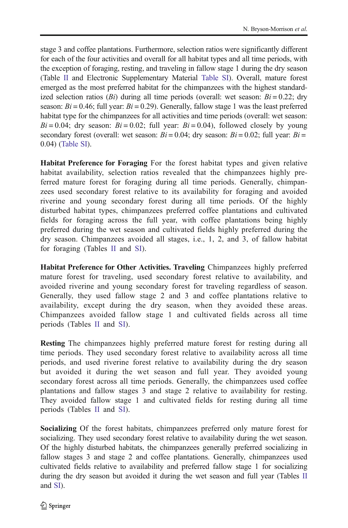stage 3 and coffee plantations. Furthermore, selection ratios were significantly different for each of the four activities and overall for all habitat types and all time periods, with the exception of foraging, resting, and traveling in fallow stage 1 during the dry season (Table [II](#page-9-0) and Electronic Supplementary Material Table SI). Overall, mature forest emerged as the most preferred habitat for the chimpanzees with the highest standardized selection ratios ( $Bi$ ) during all time periods (overall: wet season:  $Bi = 0.22$ ; dry season: *Bi* = 0.46; full year: *Bi* = 0.29). Generally, fallow stage 1 was the least preferred habitat type for the chimpanzees for all activities and time periods (overall: wet season:  $Bi = 0.04$ ; dry season:  $Bi = 0.02$ ; full year:  $Bi = 0.04$ ), followed closely by young secondary forest (overall: wet season:  $Bi = 0.04$ ; dry season:  $Bi = 0.02$ ; full year:  $Bi =$ 0.04) (Table SI).

Habitat Preference for Foraging For the forest habitat types and given relative habitat availability, selection ratios revealed that the chimpanzees highly preferred mature forest for foraging during all time periods. Generally, chimpanzees used secondary forest relative to its availability for foraging and avoided riverine and young secondary forest during all time periods. Of the highly disturbed habitat types, chimpanzees preferred coffee plantations and cultivated fields for foraging across the full year, with coffee plantations being highly preferred during the wet season and cultivated fields highly preferred during the dry season. Chimpanzees avoided all stages, i.e., 1, 2, and 3, of fallow habitat for foraging (Tables [II](#page-9-0) and SI).

Habitat Preference for Other Activities. Traveling Chimpanzees highly preferred mature forest for traveling, used secondary forest relative to availability, and avoided riverine and young secondary forest for traveling regardless of season. Generally, they used fallow stage 2 and 3 and coffee plantations relative to availability, except during the dry season, when they avoided these areas. Chimpanzees avoided fallow stage 1 and cultivated fields across all time periods (Tables [II](#page-9-0) and SI).

Resting The chimpanzees highly preferred mature forest for resting during all time periods. They used secondary forest relative to availability across all time periods, and used riverine forest relative to availability during the dry season but avoided it during the wet season and full year. They avoided young secondary forest across all time periods. Generally, the chimpanzees used coffee plantations and fallow stages 3 and stage 2 relative to availability for resting. They avoided fallow stage 1 and cultivated fields for resting during all time periods (Tables [II](#page-9-0) and SI).

Socializing Of the forest habitats, chimpanzees preferred only mature forest for socializing. They used secondary forest relative to availability during the wet season. Of the highly disturbed habitats, the chimpanzees generally preferred socializing in fallow stages 3 and stage 2 and coffee plantations. Generally, chimpanzees used cultivated fields relative to availability and preferred fallow stage 1 for socializing during the dry season but avoided it during the wet season and full year (Tables [II](#page-9-0) and SI).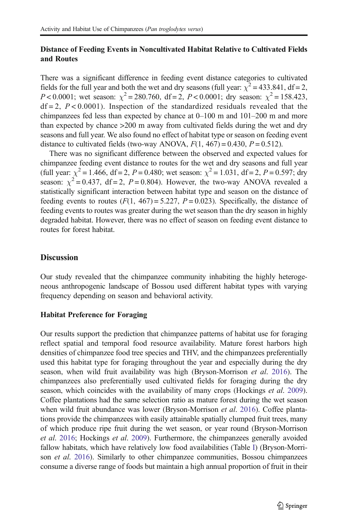#### Distance of Feeding Events in Noncultivated Habitat Relative to Cultivated Fields and Routes

There was a significant difference in feeding event distance categories to cultivated fields for the full year and both the wet and dry seasons (full year:  $\chi^2$  = 433.841, df = 2, *P* < 0.0001; wet season:  $\chi^2$  = 280.760, df = 2, *P* < 0.0001; dry season:  $\chi^2$  = 158.423,  $df = 2$ ,  $P < 0.0001$ ). Inspection of the standardized residuals revealed that the chimpanzees fed less than expected by chance at 0–100 m and 101–200 m and more than expected by chance >200 m away from cultivated fields during the wet and dry seasons and full year. We also found no effect of habitat type or season on feeding event distance to cultivated fields (two-way ANOVA,  $F(1, 467) = 0.430$ ,  $P = 0.512$ ).

There was no significant difference between the observed and expected values for chimpanzee feeding event distance to routes for the wet and dry seasons and full year (full year:  $\chi^2 = 1.466$ , df = 2, *P* = 0.480; wet season:  $\chi^2 = 1.031$ , df = 2, *P* = 0.597; dry season:  $\chi^2 = 0.437$ , df = 2, P = 0.804). However, the two-way ANOVA revealed a statistically significant interaction between habitat type and season on the distance of feeding events to routes  $(F(1, 467) = 5.227, P = 0.023)$ . Specifically, the distance of feeding events to routes was greater during the wet season than the dry season in highly degraded habitat. However, there was no effect of season on feeding event distance to routes for forest habitat.

#### **Discussion**

Our study revealed that the chimpanzee community inhabiting the highly heterogeneous anthropogenic landscape of Bossou used different habitat types with varying frequency depending on season and behavioral activity.

#### Habitat Preference for Foraging

Our results support the prediction that chimpanzee patterns of habitat use for foraging reflect spatial and temporal food resource availability. Mature forest harbors high densities of chimpanzee food tree species and THV, and the chimpanzees preferentially used this habitat type for foraging throughout the year and especially during the dry season, when wild fruit availability was high (Bryson-Morrison *et al*. [2016](#page-16-0)). The chimpanzees also preferentially used cultivated fields for foraging during the dry season, which coincides with the availability of many crops (Hockings *et al*. [2009\)](#page-17-0). Coffee plantations had the same selection ratio as mature forest during the wet season when wild fruit abundance was lower (Bryson-Morrison *et al*. [2016\)](#page-16-0). Coffee plantations provide the chimpanzees with easily attainable spatially clumped fruit trees, many of which produce ripe fruit during the wet season, or year round (Bryson-Morrison *et al*. [2016;](#page-16-0) Hockings *et al*. [2009\)](#page-17-0). Furthermore, the chimpanzees generally avoided fallow habitats, which have relatively low food availabilities (Table [I](#page-5-0)) (Bryson-Morrison *et al*. [2016](#page-16-0)). Similarly to other chimpanzee communities, Bossou chimpanzees consume a diverse range of foods but maintain a high annual proportion of fruit in their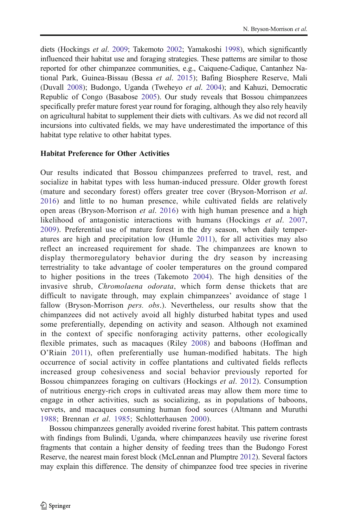diets (Hockings *et al*. [2009](#page-17-0); Takemoto [2002;](#page-19-0) Yamakoshi [1998](#page-20-0)), which significantly influenced their habitat use and foraging strategies. These patterns are similar to those reported for other chimpanzee communities, e.g., Caiquene-Cadique, Cantanhez National Park, Guinea-Bissau (Bessa *et al*. [2015\)](#page-16-0); Bafing Biosphere Reserve, Mali (Duvall [2008](#page-16-0)); Budongo, Uganda (Tweheyo *et al*. [2004\)](#page-19-0); and Kahuzi, Democratic Republic of Congo (Basabose [2005](#page-16-0)). Our study reveals that Bossou chimpanzees specifically prefer mature forest year round for foraging, although they also rely heavily on agricultural habitat to supplement their diets with cultivars. As we did not record all incursions into cultivated fields, we may have underestimated the importance of this habitat type relative to other habitat types.

#### Habitat Preference for Other Activities

Our results indicated that Bossou chimpanzees preferred to travel, rest, and socialize in habitat types with less human-induced pressure. Older growth forest (mature and secondary forest) offers greater tree cover (Bryson-Morrison *et al*. [2016](#page-16-0)) and little to no human presence, while cultivated fields are relatively open areas (Bryson-Morrison *et al*. [2016](#page-16-0)) with high human presence and a high likelihood of antagonistic interactions with humans (Hockings *et al*. [2007,](#page-17-0) [2009](#page-17-0)). Preferential use of mature forest in the dry season, when daily temperatures are high and precipitation low (Humle [2011](#page-17-0)), for all activities may also reflect an increased requirement for shade. The chimpanzees are known to display thermoregulatory behavior during the dry season by increasing terrestriality to take advantage of cooler temperatures on the ground compared to higher positions in the trees (Takemoto [2004](#page-19-0)). The high densities of the invasive shrub, *Chromolaena odorata*, which form dense thickets that are difficult to navigate through, may explain chimpanzees' avoidance of stage 1 fallow (Bryson-Morrison *pers. obs*.). Nevertheless, our results show that the chimpanzees did not actively avoid all highly disturbed habitat types and used some preferentially, depending on activity and season. Although not examined in the context of specific nonforaging activity patterns, other ecologically flexible primates, such as macaques (Riley [2008](#page-19-0)) and baboons (Hoffman and O'Riain [2011\)](#page-17-0), often preferentially use human-modified habitats. The high occurrence of social activity in coffee plantations and cultivated fields reflects increased group cohesiveness and social behavior previously reported for Bossou chimpanzees foraging on cultivars (Hockings *et al*. [2012\)](#page-17-0). Consumption of nutritious energy-rich crops in cultivated areas may allow them more time to engage in other activities, such as socializing, as in populations of baboons, vervets, and macaques consuming human food sources (Altmann and Muruthi [1988](#page-16-0); Brennan *et al*. [1985;](#page-16-0) Schlotterhausen [2000](#page-19-0)).

Bossou chimpanzees generally avoided riverine forest habitat. This pattern contrasts with findings from Bulindi, Uganda, where chimpanzees heavily use riverine forest fragments that contain a higher density of feeding trees than the Budongo Forest Reserve, the nearest main forest block (McLennan and Plumptre [2012\)](#page-18-0). Several factors may explain this difference. The density of chimpanzee food tree species in riverine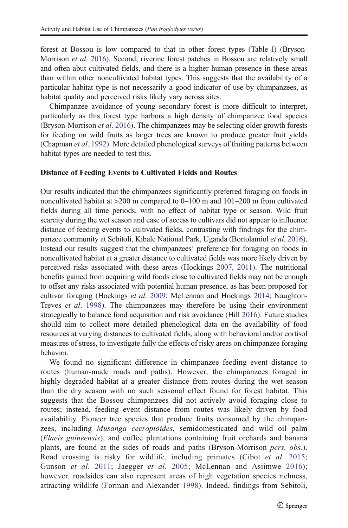forest at Bossou is low compared to that in other forest types (Table [I](#page-5-0)) (Bryson-Morrison *et al*. [2016](#page-16-0)). Second, riverine forest patches in Bossou are relatively small and often abut cultivated fields, and there is a higher human presence in these areas than within other noncultivated habitat types. This suggests that the availability of a particular habitat type is not necessarily a good indicator of use by chimpanzees, as habitat quality and perceived risks likely vary across sites.

Chimpanzee avoidance of young secondary forest is more difficult to interpret, particularly as this forest type harbors a high density of chimpanzee food species (Bryson-Morrison *et al*. [2016](#page-16-0)). The chimpanzees may be selecting older growth forests for feeding on wild fruits as larger trees are known to produce greater fruit yields (Chapman *et al*. [1992\)](#page-16-0). More detailed phenological surveys of fruiting patterns between habitat types are needed to test this.

#### Distance of Feeding Events to Cultivated Fields and Routes

Our results indicated that the chimpanzees significantly preferred foraging on foods in noncultivated habitat at >200 m compared to 0–100 m and 101–200 m from cultivated fields during all time periods, with no effect of habitat type or season. Wild fruit scarcity during the wet season and ease of access to cultivars did not appear to influence distance of feeding events to cultivated fields, contrasting with findings for the chimpanzee community at Sebitoli, Kibale National Park, Uganda (Bortolamiol *et al*. [2016\)](#page-16-0). Instead our results suggest that the chimpanzees' preference for foraging on foods in noncultivated habitat at a greater distance to cultivated fields was more likely driven by perceived risks associated with these areas (Hockings [2007](#page-17-0), [2011\)](#page-17-0). The nutritional benefits gained from acquiring wild foods close to cultivated fields may not be enough to offset any risks associated with potential human presence, as has been proposed for cultivar foraging (Hockings *et al*. [2009](#page-17-0); McLennan and Hockings [2014](#page-18-0); Naughton-Treves *et al*. [1998](#page-18-0)). The chimpanzees may therefore be using their environment strategically to balance food acquisition and risk avoidance (Hill [2016](#page-17-0)). Future studies should aim to collect more detailed phenological data on the availability of food resources at varying distances to cultivated fields, along with behavioral and/or cortisol measures of stress, to investigate fully the effects of risky areas on chimpanzee foraging behavior.

We found no significant difference in chimpanzee feeding event distance to routes (human-made roads and paths). However, the chimpanzees foraged in highly degraded habitat at a greater distance from routes during the wet season than the dry season with no such seasonal effect found for forest habitat. This suggests that the Bossou chimpanzees did not actively avoid foraging close to routes; instead, feeding event distance from routes was likely driven by food availability. Pioneer tree species that produce fruits consumed by the chimpanzees, including *Musanga cecropioides*, semidomesticated and wild oil palm (*Elaeis guineensis*), and coffee plantations containing fruit orchards and banana plants, are found at the sides of roads and paths (Bryson-Morrison *pers. obs*.). Road crossing is risky for wildlife, including primates (Cibot *et al*. [2015;](#page-16-0) Gunson *et al*. [2011](#page-17-0); Jaegger *et al*. [2005;](#page-18-0) McLennan and Asiimwe [2016](#page-18-0)); however, roadsides can also represent areas of high vegetation species richness, attracting wildlife (Forman and Alexander [1998\)](#page-17-0). Indeed, findings from Sebitoli,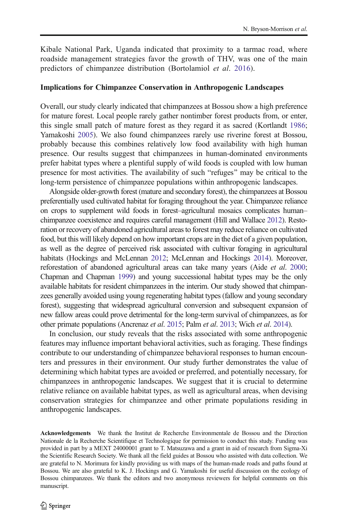<span id="page-16-0"></span>Kibale National Park, Uganda indicated that proximity to a tarmac road, where roadside management strategies favor the growth of THV, was one of the main predictors of chimpanzee distribution (Bortolamiol *et al*. 2016).

#### Implications for Chimpanzee Conservation in Anthropogenic Landscapes

Overall, our study clearly indicated that chimpanzees at Bossou show a high preference for mature forest. Local people rarely gather nontimber forest products from, or enter, this single small patch of mature forest as they regard it as sacred (Kortlandt [1986;](#page-18-0) Yamakoshi [2005\)](#page-20-0). We also found chimpanzees rarely use riverine forest at Bossou, probably because this combines relatively low food availability with high human presence. Our results suggest that chimpanzees in human-dominated environments prefer habitat types where a plentiful supply of wild foods is coupled with low human presence for most activities. The availability of such "refuges" may be critical to the long-term persistence of chimpanzee populations within anthropogenic landscapes.

Alongside older-growth forest (mature and secondary forest), the chimpanzees at Bossou preferentially used cultivated habitat for foraging throughout the year. Chimpanzee reliance on crops to supplement wild foods in forest–agricultural mosaics complicates human– chimpanzee coexistence and requires careful management (Hill and Wallace [2012](#page-17-0)). Restoration or recovery of abandoned agricultural areas to forest may reduce reliance on cultivated food, but this will likely depend on how important crops are in the diet of a given population, as well as the degree of perceived risk associated with cultivar foraging in agricultural habitats (Hockings and McLennan [2012;](#page-17-0) McLennan and Hockings [2014](#page-18-0)). Moreover, reforestation of abandoned agricultural areas can take many years (Aide *et al*. 2000; Chapman and Chapman 1999) and young successional habitat types may be the only available habitats for resident chimpanzees in the interim. Our study showed that chimpanzees generally avoided using young regenerating habitat types (fallow and young secondary forest), suggesting that widespread agricultural conversion and subsequent expansion of new fallow areas could prove detrimental for the long-term survival of chimpanzees, as for other primate populations (Ancrenaz *et al*. 2015; Palm *et al*. [2013;](#page-18-0) Wich *et al*. [2014](#page-19-0)).

In conclusion, our study reveals that the risks associated with some anthropogenic features may influence important behavioral activities, such as foraging. These findings contribute to our understanding of chimpanzee behavioral responses to human encounters and pressures in their environment. Our study further demonstrates the value of determining which habitat types are avoided or preferred, and potentially necessary, for chimpanzees in anthropogenic landscapes. We suggest that it is crucial to determine relative reliance on available habitat types, as well as agricultural areas, when devising conservation strategies for chimpanzee and other primate populations residing in anthropogenic landscapes.

Acknowledgements We thank the Institut de Recherche Environmentale de Bossou and the Direction Nationale de la Recherche Scientifique et Technologique for permission to conduct this study. Funding was provided in part by a MEXT 24000001 grant to T. Matsuzawa and a grant in aid of research from Sigma-Xi the Scientific Research Society. We thank all the field guides at Bossou who assisted with data collection. We are grateful to N. Morimura for kindly providing us with maps of the human-made roads and paths found at Bossou. We are also grateful to K. J. Hockings and G. Yamakoshi for useful discussion on the ecology of Bossou chimpanzees. We thank the editors and two anonymous reviewers for helpful comments on this manuscript.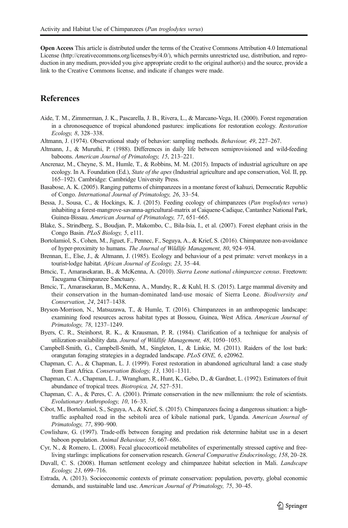<span id="page-17-0"></span>Open Access This article is distributed under the terms of the Creative Commons Attribution 4.0 International License (http://creativecommons.org/licenses/by/4.0/), which permits unrestricted use, distribution, and reproduction in any medium, provided you give appropriate credit to the original author(s) and the source, provide a link to the Creative Commons license, and indicate if changes were made.

#### **References**

- Aide, T. M., Zimmerman, J. K., Pascarella, J. B., Rivera, L., & Marcano-Vega, H. (2000). Forest regeneration in a chronosequence of tropical abandoned pastures: implications for restoration ecology. *Restoration Ecology, 8*, 328–338.
- Altmann, J. (1974). Observational study of behavior: sampling methods. *Behaviour, 49*, 227–267.
- Altmann, J., & Muruthi, P. (1988). Differences in daily life between semiprovisioned and wild‐feeding baboons. *American Journal of Primatology, 15*, 213–221.
- Ancrenaz, M., Cheyne, S. M., Humle, T., & Robbins, M. M. (2015). Impacts of industrial agriculture on ape ecology. In A. Foundation (Ed.), *State of the apes* (Industrial agriculture and ape conservation, Vol. II, pp. 165–192). Cambridge: Cambridge University Press.
- Basabose, A. K. (2005). Ranging patterns of chimpanzees in a montane forest of kahuzi, Democratic Republic of Congo. *International Journal of Primatology, 26*, 33–54.
- Bessa, J., Sousa, C., & Hockings, K. J. (2015). Feeding ecology of chimpanzees (*Pan troglodytes verus*) inhabiting a forest-mangrove-savanna-agricultural-matrix at Caiquene-Cadique, Cantanhez National Park, Guinea-Bissau. *American Journal of Primatology, 77*, 651–665.
- Blake, S., Strindberg, S., Boudjan, P., Makombo, C., Bila-Isia, I., et al. (2007). Forest elephant crisis in the Congo Basin. *PLoS Biology, 5*, e111.
- Bortolamiol, S., Cohen, M., Jiguet, F., Pennec, F., Seguya, A., & Krief, S. (2016). Chimpanzee non-avoidance of hyper-proximity to humans. *The Journal of Wildlife Management, 80*, 924–934.
- Brennan, E., Else, J., & Altmann, J. (1985). Ecology and behaviour of a pest primate: vervet monkeys in a tourist‐lodge habitat. *African Journal of Ecology, 23*, 35–44.
- Brncic, T., Amarasekaran, B., & McKenna, A. (2010). *Sierra Leone national chimpanzee census*. Freetown: Tacugama Chimpanzee Sanctuary.
- Brncic, T., Amarasekaran, B., McKenna, A., Mundry, R., & Kuhl, H. S. (2015). Large mammal diversity and their conservation in the human-dominated land-use mosaic of Sierra Leone. *Biodiversity and Conservation, 24*, 2417–1438.
- Bryson-Morrison, N., Matsuzawa, T., & Humle, T. (2016). Chimpanzees in an anthropogenic landscape: examining food resources across habitat types at Bossou, Guinea, West Africa. *American Journal of Primatology, 78*, 1237–1249.
- Byers, C. R., Steinhorst, R. K., & Krausman, P. R. (1984). Clarification of a technique for analysis of utilization-availability data. *Journal of Wildlife Management, 48*, 1050–1053.
- Campbell-Smith, G., Campbell-Smith, M., Singleton, I., & Linkie, M. (2011). Raiders of the lost bark: orangutan foraging strategies in a degraded landscape. *PLoS ONE, 6*, e20962.
- Chapman, C. A., & Chapman, L. J. (1999). Forest restoration in abandoned agricultural land: a case study from East Africa. *Conservation Biology, 13*, 1301–1311.
- Chapman, C. A., Chapman, L. J., Wrangham, R., Hunt, K., Gebo, D., & Gardner, L. (1992). Estimators of fruit abundance of tropical trees. *Biotropica, 24*, 527–531.
- Chapman, C. A., & Peres, C. A. (2001). Primate conservation in the new millennium: the role of scientists. *Evolutionary Anthropology, 10*, 16–33.
- Cibot, M., Bortolamiol, S., Seguya, A., & Krief, S. (2015). Chimpanzees facing a dangerous situation: a high‐ traffic asphalted road in the sebitoli area of kibale national park, Uganda. *American Journal of Primatology, 77*, 890–900.
- Cowlishaw, G. (1997). Trade-offs between foraging and predation risk determine habitat use in a desert baboon population. *Animal Behaviour, 53*, 667–686.
- Cyr, N., & Romero, L. (2008). Fecal glucocorticoid metabolites of experimentally stressed captive and freeliving starlings: implications for conservation research. *General Comparative Endocrinology, 158*, 20–28.
- Duvall, C. S. (2008). Human settlement ecology and chimpanzee habitat selection in Mali. *Landscape Ecology, 23*, 699–716.
- Estrada, A. (2013). Socioeconomic contexts of primate conservation: population, poverty, global economic demands, and sustainable land use. *American Journal of Primatology, 75*, 30–45.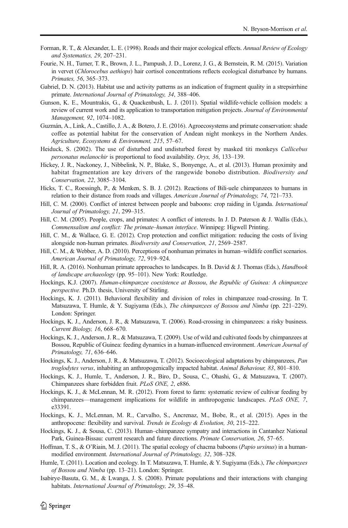- <span id="page-18-0"></span>Forman, R. T., & Alexander, L. E. (1998). Roads and their major ecological effects. *Annual Review of Ecology and Systematics, 29*, 207–231.
- Fourie, N. H., Turner, T. R., Brown, J. L., Pampush, J. D., Lorenz, J. G., & Bernstein, R. M. (2015). Variation in vervet (*Chlorocebus aethiops*) hair cortisol concentrations reflects ecological disturbance by humans. *Primates, 56*, 365–373.
- Gabriel, D. N. (2013). Habitat use and activity patterns as an indication of fragment quality in a strepsirrhine primate. *International Journal of Primatology, 34*, 388–406.
- Gunson, K. E., Mountrakis, G., & Quackenbush, L. J. (2011). Spatial wildlife-vehicle collision models: a review of current work and its application to transportation mitigation projects. *Journal of Environmental Management, 92*, 1074–1082.
- Guzmán, A., Link, A., Castillo, J. A., & Botero, J. E. (2016). Agroecosystems and primate conservation: shade coffee as potential habitat for the conservation of Andean night monkeys in the Northern Andes. *Agriculture, Ecosystems & Environment, 215*, 57–67.
- Heiduck, S. (2002). The use of disturbed and undisturbed forest by masked titi monkeys *Callicebus personatus melanochir* is proportional to food availability. *Oryx, 36*, 133–139.
- Hickey, J. R., Nackoney, J., Nibbelink, N. P., Blake, S., Bonyenge, A., et al. (2013). Human proximity and habitat fragmentation are key drivers of the rangewide bonobo distribution. *Biodiversity and Conservation, 22*, 3085–3104.
- Hicks, T. C., Roessingh, P., & Menken, S. B. J. (2012). Reactions of Bili-uele chimpanzees to humans in relation to their distance from roads and villages. *American Journal of Primatology, 74*, 721–733.
- Hill, C. M. (2000). Conflict of interest between people and baboons: crop raiding in Uganda. *International Journal of Primatology, 21*, 299–315.
- Hill, C. M. (2005). People, crops, and primates: A conflict of interests. In J. D. Paterson & J. Wallis (Eds.), *Commensalism and conflict: The primate*–*human interface*. Winnipeg: Higwell Printing.
- Hill, C. M., & Wallace, G. E. (2012). Crop protection and conflict mitigation: reducing the costs of living alongside non-human primates. *Biodiversity and Conservation, 21*, 2569–2587.
- Hill, C. M., & Webber, A. D. (2010). Perceptions of nonhuman primates in human–wildlife conflict scenarios. *American Journal of Primatology, 72*, 919–924.
- Hill, R. A. (2016). Nonhuman primate approaches to landscapes. In B. David & J. Thomas (Eds.), *Handbook of landscape archaeology* (pp. 95–101). New York: Routledge.
- Hockings, K.J. (2007). *Human-chimpanzee coexistence at Bossou*, *the Republic of Guinea: A chimpanzee perspective.* Ph.D. thesis, University of Stirling.
- Hockings, K. J. (2011). Behavioral flexibility and division of roles in chimpanzee road-crossing. In T. Matsuzawa, T. Humle, & Y. Sugiyama (Eds.), *The chimpanzees of Bossou and Nimba* (pp. 221–229). London: Springer.
- Hockings, K. J., Anderson, J. R., & Matsuzawa, T. (2006). Road-crossing in chimpanzees: a risky business. *Current Biology, 16*, 668–670.
- Hockings, K. J., Anderson, J. R., & Matsuzawa, T. (2009). Use of wild and cultivated foods by chimpanzees at Bossou, Republic of Guinea: feeding dynamics in a human-influenced environment. *American Journal of Primatology, 71*, 636–646.
- Hockings, K. J., Anderson, J. R., & Matsuzawa, T. (2012). Socioecological adaptations by chimpanzees, *Pan troglodytes verus*, inhabiting an anthropogenically impacted habitat. *Animal Behaviour, 83*, 801–810.
- Hockings, K. J., Humle, T., Anderson, J. R., Biro, D., Sousa, C., Ohashi, G., & Matsuzawa, T. (2007). Chimpanzees share forbidden fruit. *PLoS ONE, 2*, e886.
- Hockings, K. J., & McLennan, M. R. (2012). From forest to farm: systematic review of cultivar feeding by chimpanzees—management implications for wildlife in anthropogenic landscapes. *PLoS ONE, 7*, e33391.
- Hockings, K. J., McLennan, M. R., Carvalho, S., Ancrenaz, M., Bobe, R., et al. (2015). Apes in the anthropocene: flexibility and survival. *Trends in Ecology & Evolution, 30*, 215–222.
- Hockings, K. J., & Sousa, C. (2013). Human–chimpanzee sympatry and interactions in Cantanhez National Park, Guinea-Bissau: current research and future directions. *Primate Conservation, 26*, 57–65.
- Hoffman, T. S., & O'Riain, M. J. (2011). The spatial ecology of chacma baboons (*Papio ursinus*) in a humanmodified environment. *International Journal of Primatology, 32*, 308–328.
- Humle, T. (2011). Location and ecology. In T. Matsuzawa, T. Humle, & Y. Sugiyama (Eds.), *The chimpanzees of Bossou and Nimba* (pp. 13–21). London: Springer.
- Isabirye-Basuta, G. M., & Lwanga, J. S. (2008). Primate populations and their interactions with changing habitats. *International Journal of Primatology, 29*, 35–48.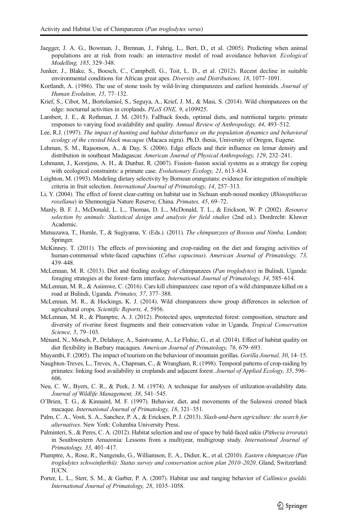- <span id="page-19-0"></span>Jaegger, J. A. G., Bowman, J., Brennan, J., Fahrig, L., Bert, D., et al. (2005). Predicting when animal populations are at risk from roads: an interactive model of road avoidance behavior. *Ecological Modelling, 185*, 329–348.
- Junker, J., Blake, S., Boesch, C., Campbell, G., Toit, L. D., et al. (2012). Recent decline in suitable environmental conditions for African great apes. *Diversity and Distributions, 18*, 1077–1091.
- Kortlandt, A. (1986). The use of stone tools by wild-living chimpanzees and earliest hominids. *Journal of Human Evolution, 15*, 77–132.
- Krief, S., Cibot, M., Bortolamiol, S., Seguya, A., Krief, J. M., & Masi, S. (2014). Wild chimpanzees on the edge: nocturnal activities in croplands. *PLoS ONE, 9*, e109925.
- Lambert, J. E., & Rothman, J. M. (2015). Fallback foods, optimal diets, and nutritional targets: primate responses to varying food availability and quality. *Annual Review of Anthropology, 44*, 493–512.
- Lee, R.J. (1997). *The impact of hunting and habitat disturbance on the population dynamics and behavioral ecology of the crested black macaque* (Macaca nigra). Ph.D. thesis, University of Oregon, Eugene.
- Lehman, S. M., Rajaonson, A., & Day, S. (2006). Edge effects and their influence on lemur density and distribution in southeast Madagascar. *American Journal of Physical Anthropology, 129*, 232–241.
- Lehmann, J., Korstjens, A. H., & Dunbar, R. (2007). Fission–fusion social systems as a strategy for coping with ecological constraints: a primate case. *Evolutionary Ecology, 21*, 613–634.
- Leighton, M. (1993). Modeling dietary selectivity by Bornean orangutans: evidence for integration of multiple criteria in fruit selection. *International Journal of Primatology, 14*, 257–313.
- Li, Y. (2004). The effect of forest clear-cutting on habitat use in Sichuan snub-nosed monkey (*Rhinopithecus roxellana*) in Shennongjia Nature Reserve, China. *Primates, 45*, 69–72.
- Manly, B. F. J., McDonald, L. L., Thomas, D. L., McDonald, T. L., & Erickson, W. P. (2002). *Resource selection by animals: Statistical design and analysis for field studies* (2nd ed.). Dordrecht: Kluwer Academic.
- Matsuzawa, T., Humle, T., & Sugiyama, Y. (Eds.). (2011). *The chimpanzees of Bossou and Nimba*. London: Springer.
- McKinney, T. (2011). The effects of provisioning and crop-raiding on the diet and foraging activities of human-commensal white-faced capuchins (*Cebus capucinus*). *American Journal of Primatology, 73*, 439–448.
- McLennan, M. R. (2013). Diet and feeding ecology of chimpanzees (*Pan troglodytes*) in Bulindi, Uganda: foraging strategies at the forest–farm interface. *International Journal of Primatology, 34*, 585–614.
- McLennan, M. R., & Asiimwe, C. (2016). Cars kill chimpanzees: case report of a wild chimpanzee killed on a road at Bulindi, Uganda. *Primates, 57*, 377–388.
- McLennan, M. R., & Hockings, K. J. (2014). Wild chimpanzees show group differences in selection of agricultural crops. *Scientific Reports, 4*, 5956.
- McLennan, M. R., & Plumptre, A. J. (2012). Protected apes, unprotected forest: composition, structure and diversity of riverine forest fragments and their conservation value in Uganda. *Tropical Conservation Science, 5*, 79–103.
- Ménard, N., Motsch, P., Delahaye, A., Saintvanne, A., Le Flohic, G., et al. (2014). Effect of habitat quality on diet flexibility in Barbary macaques. *American Journal of Primatology, 76*, 679–693.
- Muyambi, F. (2005). The impact of tourism on the behaviour of mountain gorillas. *Gorilla Journal, 30*, 14–15.
- Naughton-Treves, L., Treves, A., Chapman, C., & Wrangham, R. (1998). Temporal patterns of crop-raiding by primates: linking food availability in croplands and adjacent forest. *Journal of Applied Ecology, 35*, 596– 606.
- Neu, C. W., Byers, C. R., & Peek, J. M. (1974). A technique for analyses of utilization-availability data. *Journal of Wildlife Management, 38*, 541–545.
- O'Brien, T. G., & Kinnaird, M. F. (1997). Behavior, diet, and movements of the Sulawesi crested black macaque. *International Journal of Primatology, 18*, 321–351.
- Palm, C. A., Vosti, S. A., Sanchez, P. A., & Ericksen, P. J. (2013). *Slash-and-burn agriculture: the search for alternatives*. New York: Columbia University Press.
- Palminteri, S., & Peres, C. A. (2012). Habitat selection and use of space by bald-faced sakis (*Pithecia irrorata*) in Southwestern Amazonia: Lessons from a multiyear, multigroup study. *International Journal of Primatology, 33*, 401–417.
- Plumptre, A., Rose, R., Nangendo, G., Williamson, E. A., Didier, K., et al. (2010). *Eastern chimpanzee (Pan troglodytes schweinfurthii): Status survey and conservation action plan 2010*–*2020*. Gland, Switzerland: IUCN.
- Porter, L. L., Sterr, S. M., & Garber, P. A. (2007). Habitat use and ranging behavior of *Callimico goeldii. International Journal of Primatology, 28*, 1035–1058.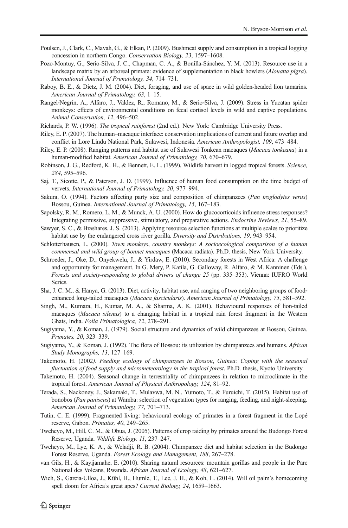- <span id="page-20-0"></span>Poulsen, J., Clark, C., Mavah, G., & Elkan, P. (2009). Bushmeat supply and consumption in a tropical logging concession in northern Congo. *Conservation Biology, 23*, 1597–1608.
- Pozo-Montuy, G., Serio-Silva, J. C., Chapman, C. A., & Bonilla-Sánchez, Y. M. (2013). Resource use in a landscape matrix by an arboreal primate: evidence of supplementation in black howlers (*Alouatta pigra*). *International Journal of Primatology, 34*, 714–731.
- Raboy, B. E., & Dietz, J. M. (2004). Diet, foraging, and use of space in wild golden-headed lion tamarins. *American Journal of Primatology, 63*, 1–15.
- Rangel‐Negrín, A., Alfaro, J., Valdez, R., Romano, M., & Serio‐Silva, J. (2009). Stress in Yucatan spider monkeys: effects of environmental conditions on fecal cortisol levels in wild and captive populations. *Animal Conservation, 12*, 496–502.
- Richards, P. W. (1996). *The tropical rainforest* (2nd ed.). New York: Cambridge University Press.
- Riley, E. P. (2007). The human–macaque interface: conservation implications of current and future overlap and conflict in Lore Lindu National Park, Sulawesi, Indonesia. *American Anthropologist, 109*, 473–484.
- Riley, E. P. (2008). Ranging patterns and habitat use of Sulawesi Tonkean macaques (*Macaca tonkeana*) in a human‐modified habitat. *American Journal of Primatology, 70*, 670–679.
- Robinson, J. G., Redford, K. H., & Bennett, E. L. (1999). Wildlife harvest in logged tropical forests. *Science, 284*, 595–596.
- Saj, T., Sicotte, P., & Paterson, J. D. (1999). Influence of human food consumption on the time budget of vervets. *International Journal of Primatology, 20*, 977–994.
- Sakura, O. (1994). Factors affecting party size and composition of chimpanzees (*Pan troglodytes verus*) Bossou, Guinea. *International Journal of Primatology, 15*, 167–183.
- Sapolsky, R. M., Romero, L. M., & Munck, A. U. (2000). How do glucocorticoids influence stress responses? Integrating permissive, suppressive, stimulatory, and preparative actions. *Endocrine Reviews, 21*, 55–89.
- Sawyer, S. C., & Brashares, J. S. (2013). Applying resource selection functions at multiple scales to prioritize habitat use by the endangered cross river gorilla. *Diversity and Distributions, 19*, 943–954.
- Schlotterhausen, L. (2000). *Town monkeys*, *country monkeys: A socioecological comparison of a human commensal and wild group of bonnet macaques* (Macaca radiata). Ph.D. thesis, New York University.
- Schroeder, J., Oke, D., Onyekwelu, J., & Yirdaw, E. (2010). Secondary forests in West Africa: A challenge and opportunity for management. In G. Mery, P. Katila, G. Galloway, R. Alfaro, & M. Kanninen (Eds.), *Forests and society-responding to global drivers of change 25* (pp. 335–353). Vienna: IUFRO World Series.
- Sha, J. C. M., & Hanya, G. (2013). Diet, activity, habitat use, and ranging of two neighboring groups of food‐ enhanced long‐tailed macaques (*Macaca fascicularis*). *American Journal of Primatology, 75*, 581–592.
- Singh, M., Kumara, H., Kumar, M. A., & Sharma, A. K. (2001). Behavioural responses of lion-tailed macaques (*Macaca silenus*) to a changing habitat in a tropical rain forest fragment in the Western Ghats, India. *Folia Primatologica, 72*, 278–291.
- Sugiyama, Y., & Koman, J. (1979). Social structure and dynamics of wild chimpanzees at Bossou, Guinea. *Primates, 20*, 323–339.
- Sugiyama, Y., & Koman, J. (1992). The flora of Bossou: its utilization by chimpanzees and humans. *African Study Monographs, 13*, 127–169.
- Takemoto, H. (2002*). Feeding ecology of chimpanzees in Bossou*, *Guinea: Coping with the seasonal fluctuation of food supply and micrometeorology in the tropical forest*. Ph.D. thesis, Kyoto University.
- Takemoto, H. (2004). Seasonal change in terrestriality of chimpanzees in relation to microclimate in the tropical forest. *American Journal of Physical Anthropology, 124*, 81–92.
- Terada, S., Nackoney, J., Sakamaki, T., Mulavwa, M. N., Yumoto, T., & Furuichi, T. (2015). Habitat use of bonobos (*Pan paniscus*) at Wamba: selection of vegetation types for ranging, feeding, and night-sleeping. *American Journal of Primatology, 77*, 701–713.
- Tutin, C. E. (1999). Fragmented living: behavioural ecology of primates in a forest fragment in the Lopé reserve, Gabon. *Primates, 40*, 249–265.
- Tweheyo, M., Hill, C. M., & Obua, J. (2005). Patterns of crop raiding by primates around the Budongo Forest Reserve, Uganda. *Wildlife Biology, 11*, 237–247.
- Tweheyo, M., Lye, K. A., & Weladji, R. B. (2004). Chimpanzee diet and habitat selection in the Budongo Forest Reserve, Uganda. *Forest Ecology and Management, 188*, 267–278.
- van Gils, H., & Kayijamahe, E. (2010). Sharing natural resources: mountain gorillas and people in the Parc National des Volcans, Rwanda. *African Journal of Ecology, 48*, 621–627.
- Wich, S., Garcia-Ulloa, J., Kühl, H., Humle, T., Lee, J. H., & Koh, L. (2014). Will oil palm's homecoming spell doom for Africa's great apes? *Current Biology, 24*, 1659–1663.